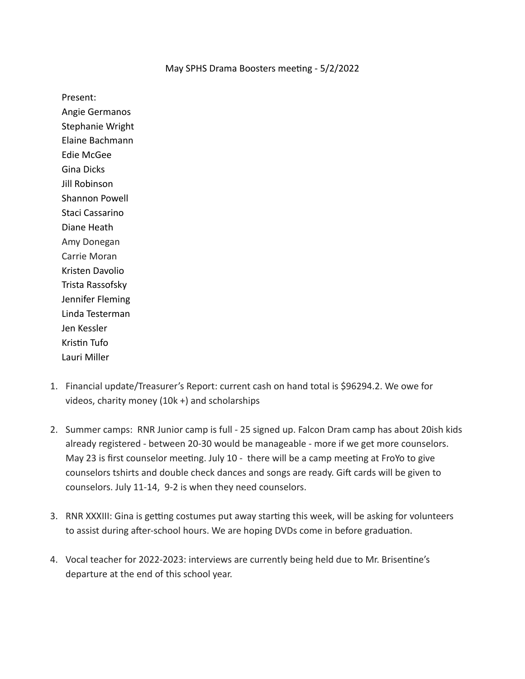## May SPHS Drama Boosters meeting - 5/2/2022

Present:

Angie Germanos Stephanie Wright Elaine Bachmann Edie McGee Gina Dicks Jill Robinson Shannon Powell Staci Cassarino Diane Heath Amy Donegan Carrie Moran Kristen Davolio Trista Rassofsky Jennifer Fleming Linda Testerman Jen Kessler Kristin Tufo Lauri Miller

- 1. Financial update/Treasurer's Report: current cash on hand total is \$96294.2. We owe for videos, charity money (10k +) and scholarships
- 2. Summer camps: RNR Junior camp is full 25 signed up. Falcon Dram camp has about 20ish kids already registered - between 20-30 would be manageable - more if we get more counselors. May 23 is first counselor meeting. July  $10 -$  there will be a camp meeting at FroYo to give counselors tshirts and double check dances and songs are ready. Gift cards will be given to counselors. July 11-14, 9-2 is when they need counselors.
- 3. RNR XXXIII: Gina is getting costumes put away starting this week, will be asking for volunteers to assist during after-school hours. We are hoping DVDs come in before graduation.
- 4. Vocal teacher for 2022-2023: interviews are currently being held due to Mr. Brisentine's departure at the end of this school year.